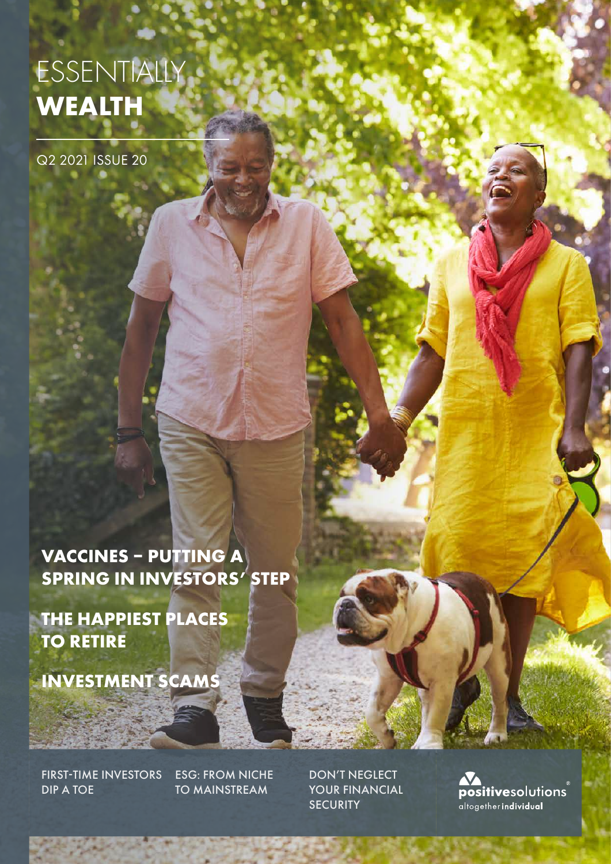# ESSENTIALLY **WEALTH**

Q2 2021 ISSUE 20

**VACCINES – PUTTING A SPRING IN INVESTORS' STEP**

**THE HAPPIEST PLACES TO RETIRE**

**INVESTMENT SCAMS** 

FIRST-TIME INVESTORS DIP A TOE

ESG: FROM NICHE TO MAINSTREAM

DON'T NEGLECT YOUR FINANCIAL **SECURITY** 

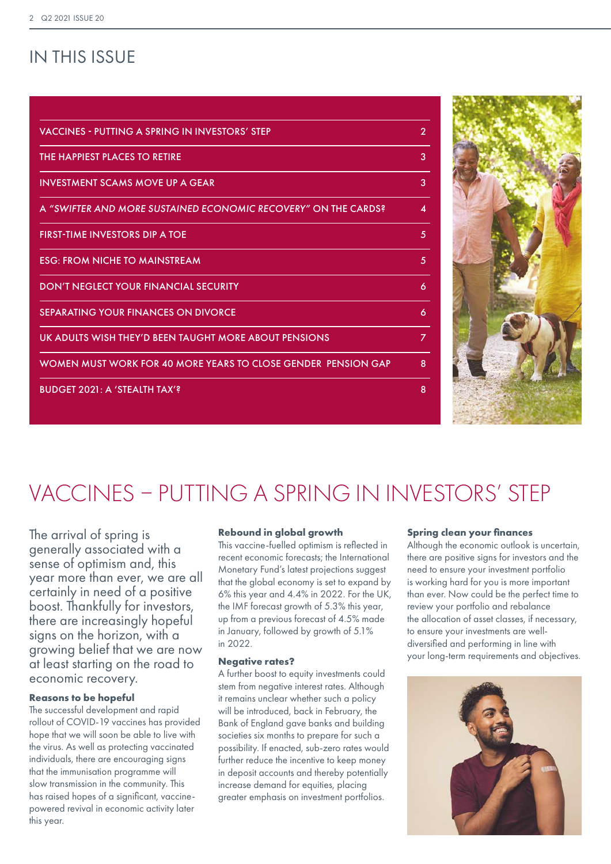## IN THIS ISSUE

| $\overline{2}$ |
|----------------|
| 3              |
| 3              |
| 4              |
| 5              |
| 5              |
| 6              |
| 6              |
| 7              |
| 8              |
| 8              |
|                |



# VACCINES – PUTTING A SPRING IN INVESTORS' STEP

The arrival of spring is generally associated with a sense of optimism and, this year more than ever, we are all certainly in need of a positive boost. Thankfully for investors, there are increasingly hopeful signs on the horizon, with a growing belief that we are now at least starting on the road to economic recovery.

## **Reasons to be hopeful**

The successful development and rapid rollout of COVID-19 vaccines has provided hope that we will soon be able to live with the virus. As well as protecting vaccinated individuals, there are encouraging signs that the immunisation programme will slow transmission in the community. This has raised hopes of a significant, vaccinepowered revival in economic activity later this year.

### **Rebound in global growth**

This vaccine-fuelled optimism is reflected in recent economic forecasts; the International Monetary Fund's latest projections suggest that the global economy is set to expand by 6% this year and 4.4% in 2022. For the UK, the IMF forecast growth of 5.3% this year, up from a previous forecast of 4.5% made in January, followed by growth of 5.1% in 2022.

#### **Negative rates?**

A further boost to equity investments could stem from negative interest rates. Although it remains unclear whether such a policy will be introduced, back in February, the Bank of England gave banks and building societies six months to prepare for such a possibility. If enacted, sub-zero rates would further reduce the incentive to keep money in deposit accounts and thereby potentially increase demand for equities, placing greater emphasis on investment portfolios.

### **Spring clean your finances**

Although the economic outlook is uncertain, there are positive signs for investors and the need to ensure your investment portfolio is working hard for you is more important than ever. Now could be the perfect time to review your portfolio and rebalance the allocation of asset classes, if necessary, to ensure your investments are welldiversified and performing in line with your long-term requirements and objectives.

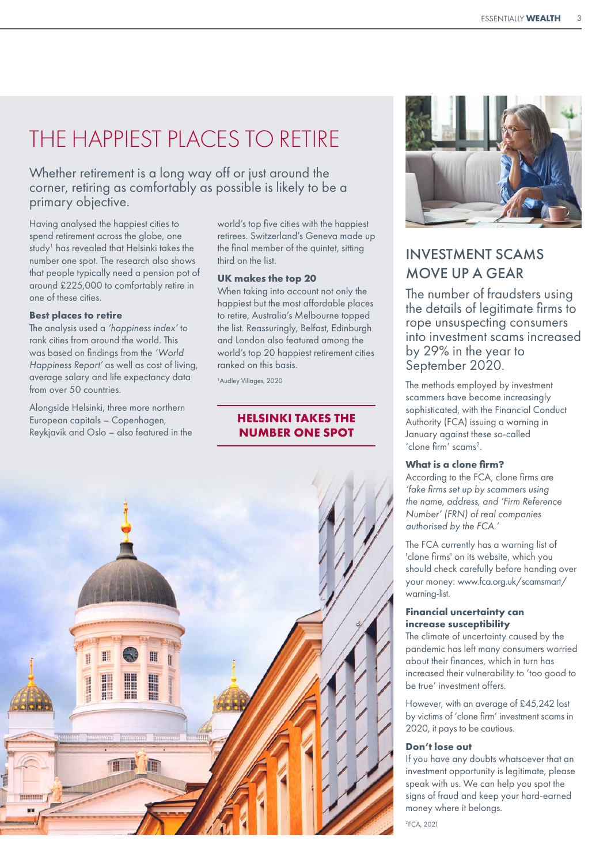## THE HAPPIEST PLACES TO RETIRE

Whether retirement is a long way off or just around the corner, retiring as comfortably as possible is likely to be a primary objective.

Having analysed the happiest cities to spend retirement across the globe, one study<sup>1</sup> has revealed that Helsinki takes the number one spot. The research also shows that people typically need a pension pot of around £225,000 to comfortably retire in one of these cities.

#### **Best places to retire**

The analysis used a *'happiness index'* to rank cities from around the world. This was based on findings from the *'World Happiness Report'* as well as cost of living, average salary and life expectancy data from over 50 countries.

Alongside Helsinki, three more northern European capitals – Copenhagen, Reykjavik and Oslo – also featured in the world's top five cities with the happiest retirees. Switzerland's Geneva made up the final member of the quintet, sitting third on the list.

### **UK makes the top 20**

When taking into account not only the happiest but the most affordable places to retire, Australia's Melbourne topped the list. Reassuringly, Belfast, Edinburgh and London also featured among the world's top 20 happiest retirement cities ranked on this basis.

1 Audley Villages, 2020

## **HELSINKI TAKES THE NUMBER ONE SPOT**





## INVESTMENT SCAMS MOVE UP A GEAR

The number of fraudsters using the details of legitimate firms to rope unsuspecting consumers into investment scams increased by 29% in the year to September 2020.

The methods employed by investment scammers have become increasingly sophisticated, with the Financial Conduct Authority (FCA) issuing a warning in January against these so-called 'clone firm' scams<sup>2</sup>.

## **What is a clone firm?**

According to the FCA, clone firms are *'fake firms set up by scammers using the name, address, and 'Firm Reference Number' (FRN) of real companies authorised by the FCA.'* 

The FCA currently has a warning list of 'clone firms' on its website, which you should check carefully before handing over your money: www.fca.org.uk/scamsmart/ warning-list.

## **Financial uncertainty can increase susceptibility**

The climate of uncertainty caused by the pandemic has left many consumers worried about their finances, which in turn has increased their vulnerability to 'too good to be true' investment offers.

However, with an average of £45,242 lost by victims of 'clone firm' investment scams in 2020, it pays to be cautious.

## **Don't lose out**

If you have any doubts whatsoever that an investment opportunity is legitimate, please speak with us. We can help you spot the signs of fraud and keep your hard-earned money where it belongs.

2 FCA, 2021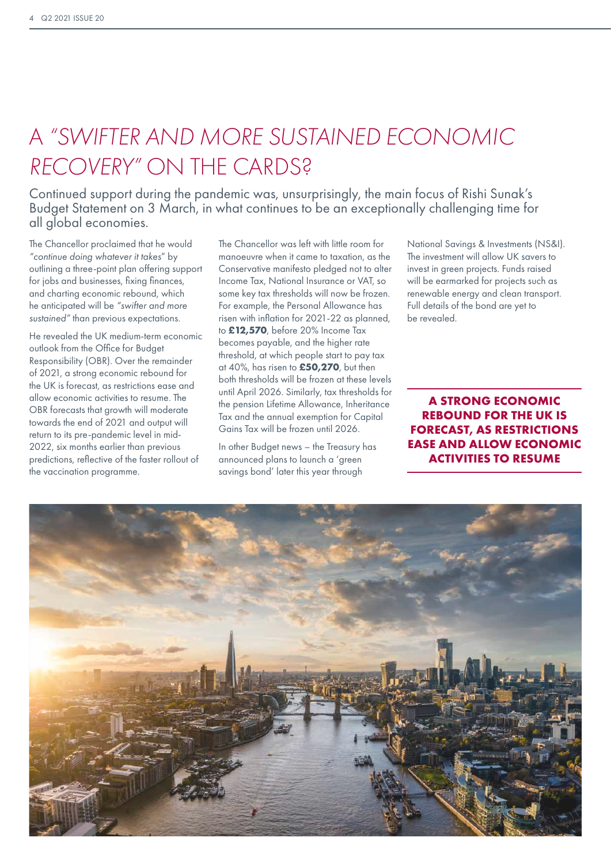## A *"SWIFTER AND MORE SUSTAINED ECONOMIC RECOVERY"* ON THE CARDS?

Continued support during the pandemic was, unsurprisingly, the main focus of Rishi Sunak's Budget Statement on 3 March, in what continues to be an exceptionally challenging time for all global economies.

The Chancellor proclaimed that he would *"continue doing whatever it takes*" by outlining a three-point plan offering support for jobs and businesses, fixing finances, and charting economic rebound, which he anticipated will be *"swifter and more sustained"* than previous expectations.

He revealed the UK medium-term economic outlook from the Office for Budget Responsibility (OBR). Over the remainder of 2021, a strong economic rebound for the UK is forecast, as restrictions ease and allow economic activities to resume. The OBR forecasts that growth will moderate towards the end of 2021 and output will return to its pre-pandemic level in mid-2022, six months earlier than previous predictions, reflective of the faster rollout of the vaccination programme.

The Chancellor was left with little room for manoeuvre when it came to taxation, as the Conservative manifesto pledged not to alter Income Tax, National Insurance or VAT, so some key tax thresholds will now be frozen. For example, the Personal Allowance has risen with inflation for 2021-22 as planned, to **£12,570**, before 20% Income Tax becomes payable, and the higher rate threshold, at which people start to pay tax at 40%, has risen to **£50,270**, but then both thresholds will be frozen at these levels until April 2026. Similarly, tax thresholds for the pension Lifetime Allowance, Inheritance Tax and the annual exemption for Capital Gains Tax will be frozen until 2026.

In other Budget news – the Treasury has announced plans to launch a 'green savings bond' later this year through

National Savings & Investments (NS&I). The investment will allow UK savers to invest in green projects. Funds raised will be earmarked for projects such as renewable energy and clean transport. Full details of the bond are yet to be revealed.

## **A STRONG ECONOMIC REBOUND FOR THE UK IS FORECAST, AS RESTRICTIONS EASE AND ALLOW ECONOMIC ACTIVITIES TO RESUME**

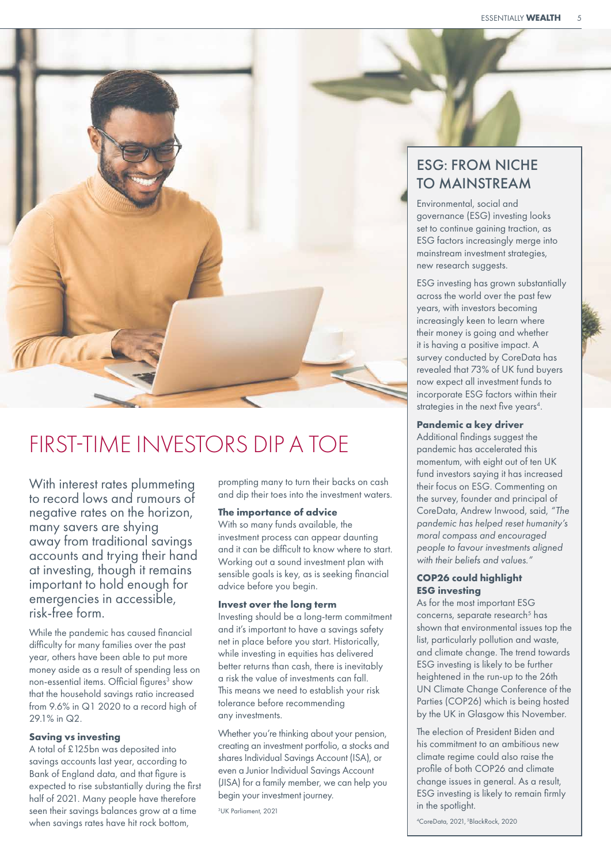

## FIRST-TIME INVESTORS DIP A TOE

With interest rates plummeting to record lows and rumours of negative rates on the horizon, many savers are shying away from traditional savings accounts and trying their hand at investing, though it remains important to hold enough for emergencies in accessible, risk-free form.

While the pandemic has caused financial difficulty for many families over the past year, others have been able to put more money aside as a result of spending less on non-essential items. Official figures<sup>3</sup> show that the household savings ratio increased from 9.6% in Q1 2020 to a record high of 29.1% in Q2.

## **Saving vs investing**

A total of £125bn was deposited into savings accounts last year, according to Bank of England data, and that figure is expected to rise substantially during the first half of 2021. Many people have therefore seen their savings balances grow at a time when savings rates have hit rock bottom,

prompting many to turn their backs on cash and dip their toes into the investment waters.

### **The importance of advice**

With so many funds available, the investment process can appear daunting and it can be difficult to know where to start. Working out a sound investment plan with sensible goals is key, as is seeking financial advice before you begin.

### **Invest over the long term**

Investing should be a long-term commitment and it's important to have a savings safety net in place before you start. Historically, while investing in equities has delivered better returns than cash, there is inevitably a risk the value of investments can fall. This means we need to establish your risk tolerance before recommending any investments.

Whether you're thinking about your pension, creating an investment portfolio, a stocks and shares Individual Savings Account (ISA), or even a Junior Individual Savings Account (JISA) for a family member, we can help you begin your investment journey.

3 UK Parliament, 2021

## ESG: FROM NICHE TO MAINSTREAM

Environmental, social and governance (ESG) investing looks set to continue gaining traction, as ESG factors increasingly merge into mainstream investment strategies, new research suggests.

ESG investing has grown substantially across the world over the past few years, with investors becoming increasingly keen to learn where their money is going and whether it is having a positive impact. A survey conducted by CoreData has revealed that 73% of UK fund buyers now expect all investment funds to incorporate ESG factors within their strategies in the next five years<sup>4</sup>.

### **Pandemic a key driver**

Additional findings suggest the pandemic has accelerated this momentum, with eight out of ten UK fund investors saying it has increased their focus on ESG. Commenting on the survey, founder and principal of CoreData, Andrew Inwood, said, *"The pandemic has helped reset humanity's moral compass and encouraged people to favour investments aligned with their beliefs and values."* 

## **COP26 could highlight ESG investing**

As for the most important ESG concerns, separate research<sup>5</sup> has shown that environmental issues top the list, particularly pollution and waste, and climate change. The trend towards ESG investing is likely to be further heightened in the run-up to the 26th UN Climate Change Conference of the Parties (COP26) which is being hosted by the UK in Glasgow this November.

The election of President Biden and his commitment to an ambitious new climate regime could also raise the profile of both COP26 and climate change issues in general. As a result, ESG investing is likely to remain firmly in the spotlight.

4 CoreData, 2021, 5BlackRock, 2020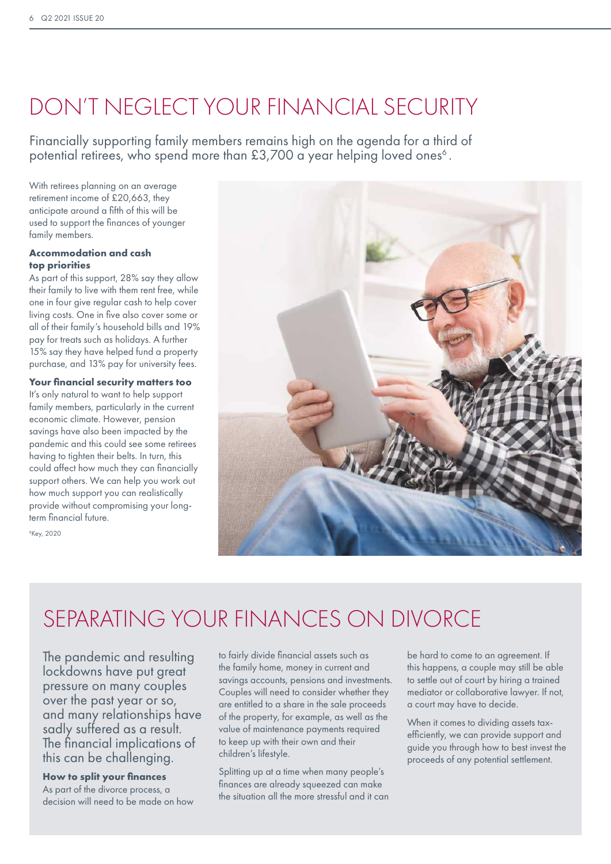## DON'T NEGLECT YOUR FINANCIAL SECURITY

Financially supporting family members remains high on the agenda for a third of potential retirees, who spend more than  $£3,700$  a year helping loved ones<sup>6</sup>.

With retirees planning on an average retirement income of £20,663, they anticipate around a fifth of this will be used to support the finances of younger family members.

## **Accommodation and cash top priorities**

As part of this support, 28% say they allow their family to live with them rent free, while one in four give regular cash to help cover living costs. One in five also cover some or all of their family's household bills and 19% pay for treats such as holidays. A further 15% say they have helped fund a property purchase, and 13% pay for university fees.

### **Your financial security matters too**

It's only natural to want to help support family members, particularly in the current economic climate. However, pension savings have also been impacted by the pandemic and this could see some retirees having to tighten their belts. In turn, this could affect how much they can financially support others. We can help you work out how much support you can realistically provide without compromising your longterm financial future.

6 Key, 2020



## SEPARATING YOUR FINANCES ON DIVORCE

The pandemic and resulting lockdowns have put great pressure on many couples over the past year or so, and many relationships have sadly suffered as a result. The financial implications of this can be challenging.

**How to split your finances** As part of the divorce process, a decision will need to be made on how

to fairly divide financial assets such as the family home, money in current and savings accounts, pensions and investments. Couples will need to consider whether they are entitled to a share in the sale proceeds of the property, for example, as well as the value of maintenance payments required to keep up with their own and their children's lifestyle.

Splitting up at a time when many people's finances are already squeezed can make the situation all the more stressful and it can be hard to come to an agreement. If this happens, a couple may still be able to settle out of court by hiring a trained mediator or collaborative lawyer. If not, a court may have to decide.

When it comes to dividing assets taxefficiently, we can provide support and guide you through how to best invest the proceeds of any potential settlement.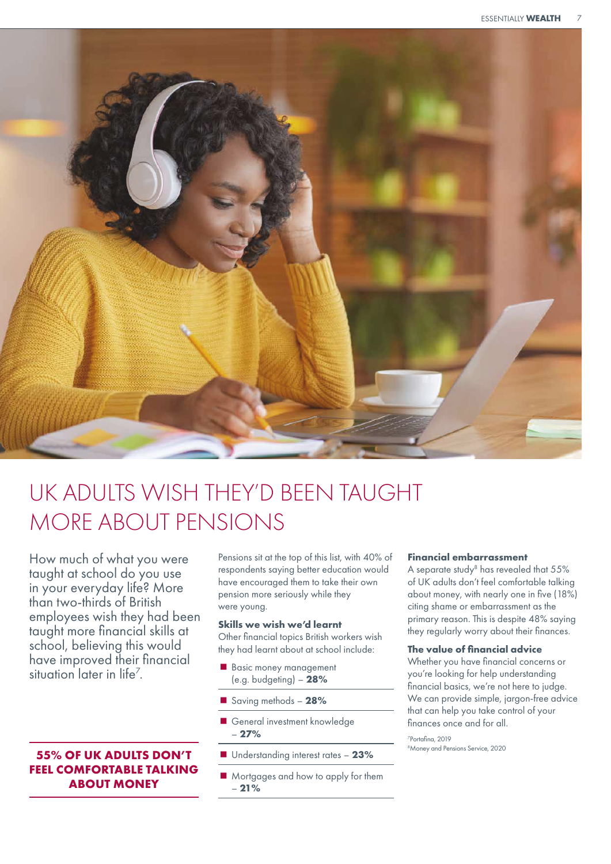

## UK ADULTS WISH THEY'D BEEN TAUGHT MORE ABOUT PENSIONS

How much of what you were taught at school do you use in your everyday life? More than two-thirds of British employees wish they had been taught more financial skills at school, believing this would have improved their financial situation later in life<sup>7</sup>.

## **55% OF UK ADULTS DON'T FEEL COMFORTABLE TALKING ABOUT MONEY**

Pensions sit at the top of this list, with 40% of respondents saying better education would have encouraged them to take their own pension more seriously while they were young.

#### **Skills we wish we'd learnt**

Other financial topics British workers wish they had learnt about at school include:

- Basic money management (e.g. budgeting) – **28%**
- Saving methods **28%**
- General investment knowledge – **27%**
- Understanding interest rates 23%
- **Mortgages and how to apply for them** – **21%**

## **Financial embarrassment**

A separate study<sup>8</sup> has revealed that 55% of UK adults don't feel comfortable talking about money, with nearly one in five (18%) citing shame or embarrassment as the primary reason. This is despite 48% saying they regularly worry about their finances.

## **The value of financial advice**

Whether you have financial concerns or you're looking for help understanding financial basics, we're not here to judge. We can provide simple, jargon-free advice that can help you take control of your finances once and for all.

7 Portafina, 2019 8 Money and Pensions Service, 2020